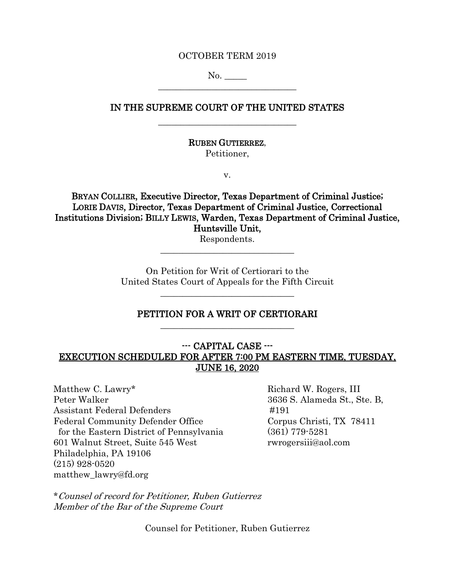#### OCTOBER TERM 2019

No.  $\overline{\phantom{a}}$  , where  $\overline{\phantom{a}}$  , where  $\overline{\phantom{a}}$  ,  $\overline{\phantom{a}}$  ,  $\overline{\phantom{a}}$  ,  $\overline{\phantom{a}}$  ,  $\overline{\phantom{a}}$  ,  $\overline{\phantom{a}}$  ,  $\overline{\phantom{a}}$  ,  $\overline{\phantom{a}}$  ,  $\overline{\phantom{a}}$  ,  $\overline{\phantom{a}}$  ,  $\overline{\phantom{a}}$  ,  $\overline{\phantom{a}}$  ,  $\overline{\phantom{a}}$  ,

# IN THE SUPREME COURT OF THE UNITED STATES  $\overline{\phantom{a}}$  , where  $\overline{\phantom{a}}$  , where  $\overline{\phantom{a}}$  ,  $\overline{\phantom{a}}$  ,  $\overline{\phantom{a}}$  ,  $\overline{\phantom{a}}$  ,  $\overline{\phantom{a}}$  ,  $\overline{\phantom{a}}$  ,  $\overline{\phantom{a}}$  ,  $\overline{\phantom{a}}$  ,  $\overline{\phantom{a}}$  ,  $\overline{\phantom{a}}$  ,  $\overline{\phantom{a}}$  ,  $\overline{\phantom{a}}$  ,  $\overline{\phantom{a}}$  ,

RUBEN GUTIERREZ,

Petitioner,

v.

BRYAN COLLIER, Executive Director, Texas Department of Criminal Justice; LORIE DAVIS, Director, Texas Department of Criminal Justice, Correctional Institutions Division; BILLY LEWIS, Warden, Texas Department of Criminal Justice, Huntsville Unit,

Respondents. \_\_\_\_\_\_\_\_\_\_\_\_\_\_\_\_\_\_\_\_\_\_\_\_\_\_\_\_\_\_

On Petition for Writ of Certiorari to the United States Court of Appeals for the Fifth Circuit

## PETITION FOR A WRIT OF CERTIORARI  $\overline{\phantom{a}}$  , where  $\overline{\phantom{a}}$  , where  $\overline{\phantom{a}}$  ,  $\overline{\phantom{a}}$  ,  $\overline{\phantom{a}}$  ,  $\overline{\phantom{a}}$  ,  $\overline{\phantom{a}}$  ,  $\overline{\phantom{a}}$  ,  $\overline{\phantom{a}}$  ,  $\overline{\phantom{a}}$  ,  $\overline{\phantom{a}}$  ,  $\overline{\phantom{a}}$  ,  $\overline{\phantom{a}}$  ,  $\overline{\phantom{a}}$  ,  $\overline{\phantom{a}}$  ,

 $\overline{\phantom{a}}$  , where  $\overline{\phantom{a}}$  , where  $\overline{\phantom{a}}$  ,  $\overline{\phantom{a}}$  ,  $\overline{\phantom{a}}$  ,  $\overline{\phantom{a}}$  ,  $\overline{\phantom{a}}$  ,  $\overline{\phantom{a}}$  ,  $\overline{\phantom{a}}$  ,  $\overline{\phantom{a}}$  ,  $\overline{\phantom{a}}$  ,  $\overline{\phantom{a}}$  ,  $\overline{\phantom{a}}$  ,  $\overline{\phantom{a}}$  ,  $\overline{\phantom{a}}$  ,

## --- CAPITAL CASE --- EXECUTION SCHEDULED FOR AFTER 7:00 PM EASTERN TIME, TUESDAY, JUNE 16, 2020

Matthew C. Lawry\* Richard W. Rogers, III Peter Walker 3636 S. Alameda St., Ste. B, Assistant Federal Defenders #191 Federal Community Defender Office Corpus Christi, TX 78411 for the Eastern District of Pennsylvania (361) 779-5281 601 Walnut Street, Suite 545 West rwrogersiii@aol.com Philadelphia, PA 19106 (215) 928-0520 matthew\_lawry@fd.org

\*Counsel of record for Petitioner, Ruben Gutierrez Member of the Bar of the Supreme Court

Counsel for Petitioner, Ruben Gutierrez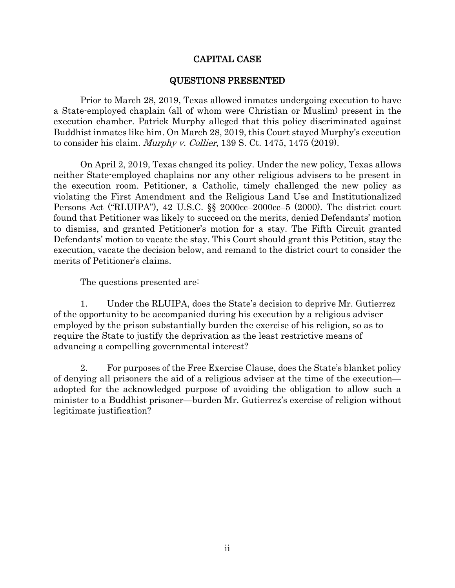## CAPITAL CASE

### <span id="page-1-1"></span>QUESTIONS PRESENTED

<span id="page-1-0"></span>Prior to March 28, 2019, Texas allowed inmates undergoing execution to have a State-employed chaplain (all of whom were Christian or Muslim) present in the execution chamber. Patrick Murphy alleged that this policy discriminated against Buddhist inmates like him. On March 28, 2019, this Court stayed Murphy's execution to consider his claim. Murphy v. Collier, 139 S. Ct. 1475, 1475 (2019).

On April 2, 2019, Texas changed its policy. Under the new policy, Texas allows neither State-employed chaplains nor any other religious advisers to be present in the execution room. Petitioner, a Catholic, timely challenged the new policy as violating the First Amendment and the Religious Land Use and Institutionalized Persons Act ("RLUIPA"), 42 U.S.C. §§ 2000cc–2000cc–5 (2000). The district court found that Petitioner was likely to succeed on the merits, denied Defendants' motion to dismiss, and granted Petitioner's motion for a stay. The Fifth Circuit granted Defendants' motion to vacate the stay. This Court should grant this Petition, stay the execution, vacate the decision below, and remand to the district court to consider the merits of Petitioner's claims.

<span id="page-1-2"></span>The questions presented are:

1. Under the RLUIPA, does the State's decision to deprive Mr. Gutierrez of the opportunity to be accompanied during his execution by a religious adviser employed by the prison substantially burden the exercise of his religion, so as to require the State to justify the deprivation as the least restrictive means of advancing a compelling governmental interest?

2. For purposes of the Free Exercise Clause, does the State's blanket policy of denying all prisoners the aid of a religious adviser at the time of the execution adopted for the acknowledged purpose of avoiding the obligation to allow such a minister to a Buddhist prisoner—burden Mr. Gutierrez's exercise of religion without legitimate justification?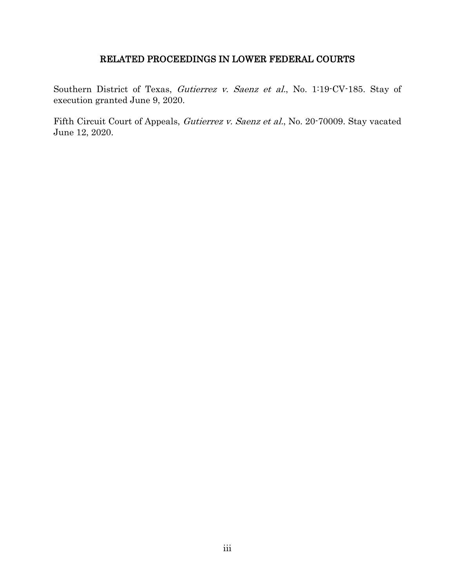# RELATED PROCEEDINGS IN LOWER FEDERAL COURTS

<span id="page-2-0"></span>Southern District of Texas, Gutierrez v. Saenz et al., No. 1:19-CV-185. Stay of execution granted June 9, 2020.

Fifth Circuit Court of Appeals, Gutierrez v. Saenz et al., No. 20-70009. Stay vacated June 12, 2020.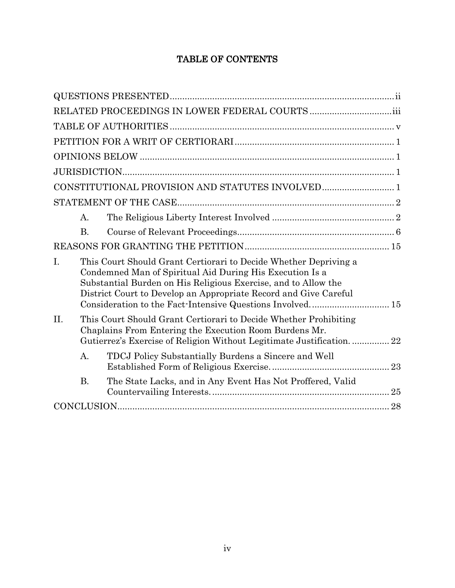# TABLE OF CONTENTS

| A <sub>1</sub>                                                                                                                                                                                                                                                           |  |
|--------------------------------------------------------------------------------------------------------------------------------------------------------------------------------------------------------------------------------------------------------------------------|--|
| <b>B.</b>                                                                                                                                                                                                                                                                |  |
|                                                                                                                                                                                                                                                                          |  |
| I.<br>This Court Should Grant Certiorari to Decide Whether Depriving a<br>Condemned Man of Spiritual Aid During His Execution Is a<br>Substantial Burden on His Religious Exercise, and to Allow the<br>District Court to Develop an Appropriate Record and Give Careful |  |
| II.<br>This Court Should Grant Certiorari to Decide Whether Prohibiting<br>Chaplains From Entering the Execution Room Burdens Mr.<br>Gutierrez's Exercise of Religion Without Legitimate Justification 22                                                                |  |
| $\mathbf{A}$ .<br>TDCJ Policy Substantially Burdens a Sincere and Well                                                                                                                                                                                                   |  |
| <b>B.</b><br>The State Lacks, and in Any Event Has Not Proffered, Valid                                                                                                                                                                                                  |  |
|                                                                                                                                                                                                                                                                          |  |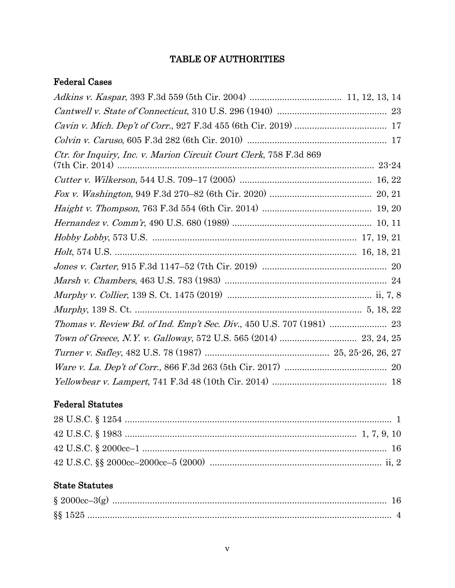# TABLE OF AUTHORITIES

# <span id="page-4-0"></span>Federal Cases

| Ctr. for Inquiry, Inc. v. Marion Circuit Court Clerk, 758 F.3d 869    |  |
|-----------------------------------------------------------------------|--|
|                                                                       |  |
|                                                                       |  |
|                                                                       |  |
|                                                                       |  |
|                                                                       |  |
|                                                                       |  |
|                                                                       |  |
|                                                                       |  |
|                                                                       |  |
|                                                                       |  |
| Thomas v. Review Bd. of Ind. Emp't Sec. Div., 450 U.S. 707 (1981)  23 |  |
|                                                                       |  |
|                                                                       |  |
|                                                                       |  |
|                                                                       |  |

# Federal Statutes

# State Statutes

| $\S$ 2000cc-3(g) |  |
|------------------|--|
|                  |  |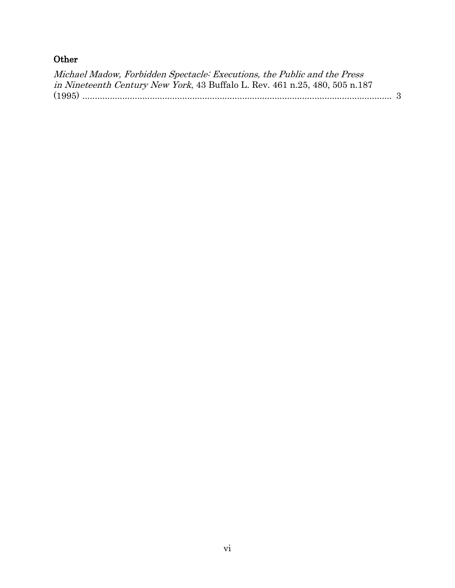# **Other**

| Michael Madow, Forbidden Spectacle: Executions, the Public and the Press            |  |
|-------------------------------------------------------------------------------------|--|
| <i>in Nineteenth Century New York</i> , 43 Buffalo L. Rev. 461 n.25, 480, 505 n.187 |  |
|                                                                                     |  |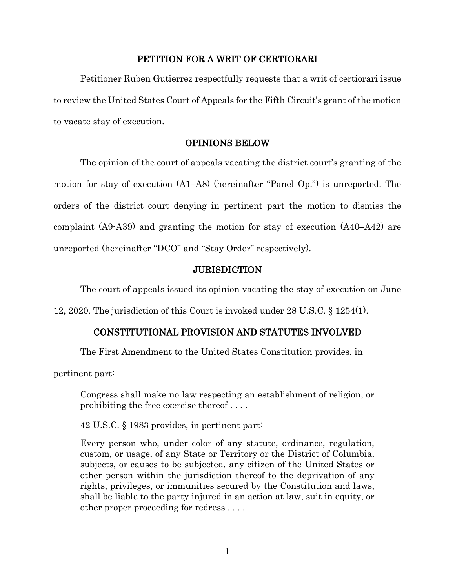#### PETITION FOR A WRIT OF CERTIORARI

<span id="page-6-0"></span>Petitioner Ruben Gutierrez respectfully requests that a writ of certiorari issue to review the United States Court of Appeals for the Fifth Circuit's grant of the motion to vacate stay of execution.

#### OPINIONS BELOW

<span id="page-6-1"></span> The opinion of the court of appeals vacating the district court's granting of the motion for stay of execution (A1–A8) (hereinafter "Panel Op.") is unreported. The orders of the district court denying in pertinent part the motion to dismiss the complaint (A9-A39) and granting the motion for stay of execution (A40–A42) are unreported (hereinafter "DCO" and "Stay Order" respectively).

#### <span id="page-6-4"></span>**JURISDICTION**

<span id="page-6-2"></span>The court of appeals issued its opinion vacating the stay of execution on June

<span id="page-6-3"></span>12, 2020. The jurisdiction of this Court is invoked under 28 U.S.C. § 1254(1).

#### CONSTITUTIONAL PROVISION AND STATUTES INVOLVED

The First Amendment to the United States Constitution provides, in

pertinent part:

Congress shall make no law respecting an establishment of religion, or prohibiting the free exercise thereof . . . .

<span id="page-6-5"></span>42 U.S.C. § 1983 provides, in pertinent part:

Every person who, under color of any statute, ordinance, regulation, custom, or usage, of any State or Territory or the District of Columbia, subjects, or causes to be subjected, any citizen of the United States or other person within the jurisdiction thereof to the deprivation of any rights, privileges, or immunities secured by the Constitution and laws, shall be liable to the party injured in an action at law, suit in equity, or other proper proceeding for redress . . . .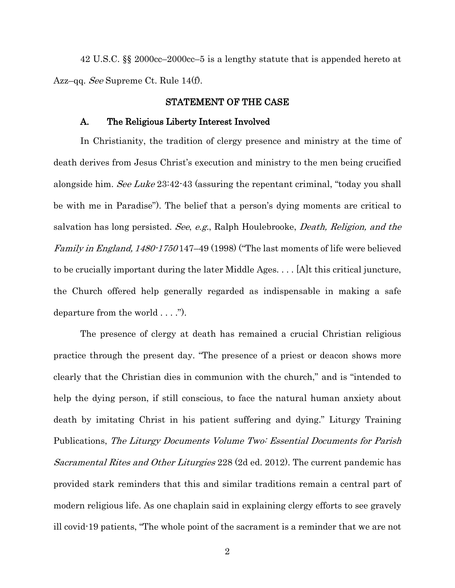<span id="page-7-2"></span>42 U.S.C. §§ 2000cc–2000cc–5 is a lengthy statute that is appended hereto at Azz–qq. *See* Supreme Ct. Rule 14(f).

#### STATEMENT OF THE CASE

#### <span id="page-7-0"></span>A. The Religious Liberty Interest Involved

<span id="page-7-1"></span>In Christianity, the tradition of clergy presence and ministry at the time of death derives from Jesus Christ's execution and ministry to the men being crucified alongside him. See Luke 23:42-43 (assuring the repentant criminal, "today you shall be with me in Paradise"). The belief that a person's dying moments are critical to salvation has long persisted. See, e.g., Ralph Houlebrooke, Death, Religion, and the Family in England, 1480-1750 147–49 (1998) ("The last moments of life were believed to be crucially important during the later Middle Ages. . . . [A]t this critical juncture, the Church offered help generally regarded as indispensable in making a safe departure from the world . . . .").

The presence of clergy at death has remained a crucial Christian religious practice through the present day. "The presence of a priest or deacon shows more clearly that the Christian dies in communion with the church," and is "intended to help the dying person, if still conscious, to face the natural human anxiety about death by imitating Christ in his patient suffering and dying." Liturgy Training Publications, The Liturgy Documents Volume Two: Essential Documents for Parish Sacramental Rites and Other Liturgies 228 (2d ed. 2012). The current pandemic has provided stark reminders that this and similar traditions remain a central part of modern religious life. As one chaplain said in explaining clergy efforts to see gravely ill covid-19 patients, "The whole point of the sacrament is a reminder that we are not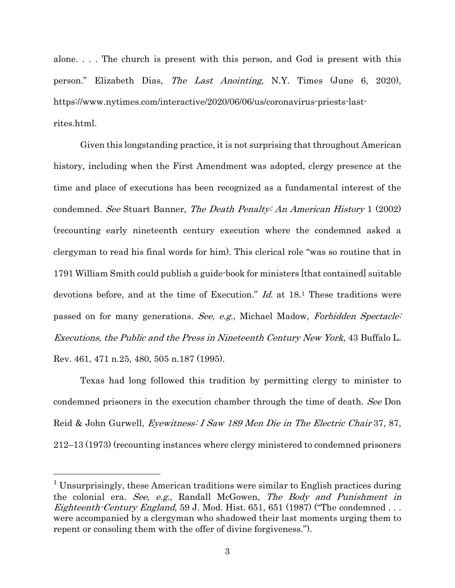alone. . . . The church is present with this person, and God is present with this person." Elizabeth Dias, The Last Anointing, N.Y. Times (June 6, 2020), https://www.nytimes.com/interactive/2020/06/06/us/coronavirus-priests-lastrites.html.

Given this longstanding practice, it is not surprising that throughout American history, including when the First Amendment was adopted, clergy presence at the time and place of executions has been recognized as a fundamental interest of the condemned. See Stuart Banner, The Death Penalty: An American History 1 (2002) (recounting early nineteenth century execution where the condemned asked a clergyman to read his final words for him). This clerical role "was so routine that in 1791 William Smith could publish a guide-book for ministers [that contained] suitable devotions before, and at the time of Execution." Id. at 18.[1](#page-8-1) These traditions were passed on for many generations. See, e.g., Michael Madow, Forbidden Spectacle: Executions, the Public and the Press in Nineteenth Century New York, 43 Buffalo L. Rev. 461, 471 n.25, 480, 505 n.187 (1995).

<span id="page-8-0"></span>Texas had long followed this tradition by permitting clergy to minister to condemned prisoners in the execution chamber through the time of death. See Don Reid & John Gurwell, Eyewitness: I Saw 189 Men Die in The Electric Chair 37, 87, 212–13 (1973) (recounting instances where clergy ministered to condemned prisoners

<span id="page-8-1"></span> <sup>1</sup> Unsurprisingly, these American traditions were similar to English practices during the colonial era. See, e.g., Randall McGowen, The Body and Punishment in *Eighteenth-Century England*, 59 J. Mod. Hist. 651, 651 (1987) ("The condemned ... were accompanied by a clergyman who shadowed their last moments urging them to repent or consoling them with the offer of divine forgiveness.").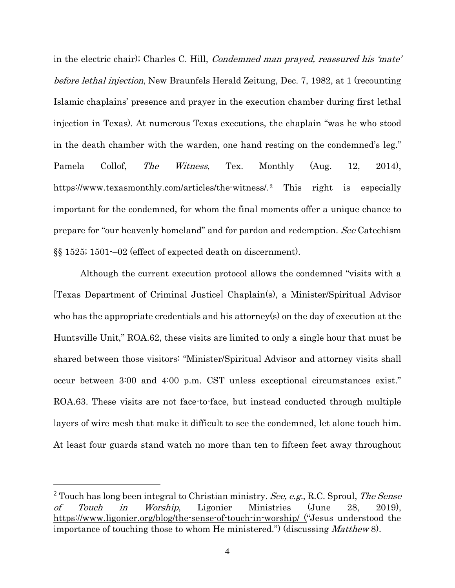in the electric chair); Charles C. Hill, *Condemned man prayed, reassured his 'mate'* before lethal injection, New Braunfels Herald Zeitung, Dec. 7, 1982, at 1 (recounting Islamic chaplains' presence and prayer in the execution chamber during first lethal injection in Texas). At numerous Texas executions, the chaplain "was he who stood in the death chamber with the warden, one hand resting on the condemned's leg." Pamela Collof, *The Witness*, Tex. Monthly (Aug. 12, 2014), https://www.texasmonthly.com/articles/the-witness/.[2](#page-9-1) This right is especially important for the condemned, for whom the final moments offer a unique chance to prepare for "our heavenly homeland" and for pardon and redemption. See Catechism §§ 1525; 1501-–02 (effect of expected death on discernment).

<span id="page-9-0"></span>Although the current execution protocol allows the condemned "visits with a [Texas Department of Criminal Justice] Chaplain(s), a Minister/Spiritual Advisor who has the appropriate credentials and his attorney(s) on the day of execution at the Huntsville Unit," ROA.62, these visits are limited to only a single hour that must be shared between those visitors: "Minister/Spiritual Advisor and attorney visits shall occur between 3:00 and 4:00 p.m. CST unless exceptional circumstances exist." ROA.63. These visits are not face-to-face, but instead conducted through multiple layers of wire mesh that make it difficult to see the condemned, let alone touch him. At least four guards stand watch no more than ten to fifteen feet away throughout

<span id="page-9-1"></span> $2$  Touch has long been integral to Christian ministry. See, e.g., R.C. Sproul, The Sense of Touch in Worship, Ligonier Ministries (June 28, 2019), <https://www.ligonier.org/blog/the-sense-of-touch-in-worship/> ("Jesus understood the importance of touching those to whom He ministered.") (discussing Matthew 8).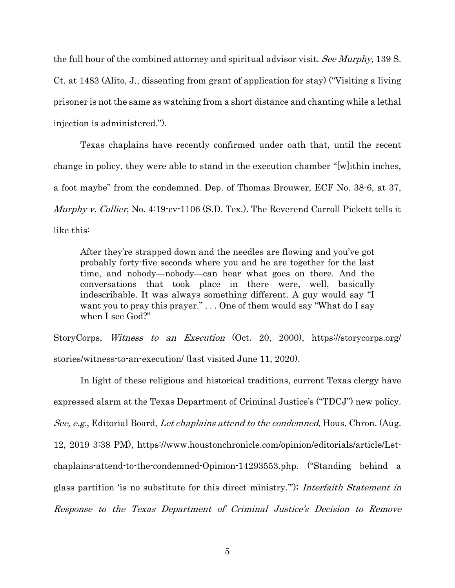<span id="page-10-0"></span>the full hour of the combined attorney and spiritual advisor visit. See Murphy, 139 S. Ct. at 1483 (Alito, J., dissenting from grant of application for stay) ("Visiting a living prisoner is not the same as watching from a short distance and chanting while a lethal injection is administered.").

Texas chaplains have recently confirmed under oath that, until the recent change in policy, they were able to stand in the execution chamber "[w]ithin inches, a foot maybe" from the condemned. Dep. of Thomas Brouwer, ECF No. 38-6, at 37, Murphy v. Collier, No. 4:19-cv-1106 (S.D. Tex.). The Reverend Carroll Pickett tells it like this:

After they're strapped down and the needles are flowing and you've got probably forty-five seconds where you and he are together for the last time, and nobody—nobody—can hear what goes on there. And the conversations that took place in there were, well, basically indescribable. It was always something different. A guy would say "I want you to pray this prayer." . . . One of them would say "What do I say when I see God?"

StoryCorps, Witness to an Execution (Oct. 20, 2000), https://storycorps.org/ stories/witness-to-an-execution/ (last visited June 11, 2020).

In light of these religious and historical traditions, current Texas clergy have expressed alarm at the Texas Department of Criminal Justice's ("TDCJ") new policy. See, e.g., Editorial Board, Let chaplains attend to the condemned, Hous. Chron. (Aug. 12, 2019 3:38 PM), https://www.houstonchronicle.com/opinion/editorials/article/Letchaplains-attend-to-the-condemned-Opinion-14293553.php. ("Standing behind a glass partition 'is no substitute for this direct ministry.'"); Interfaith Statement in Response to the Texas Department of Criminal Justice's Decision to Remove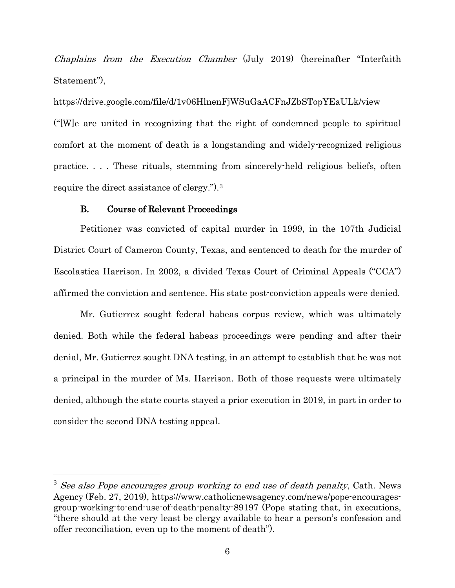Chaplains from the Execution Chamber (July 2019) (hereinafter "Interfaith Statement"),

https://drive.google.com/file/d/1v06HlnenFjWSuGaACFnJZbSTopYEaULk/view ("[W]e are united in recognizing that the right of condemned people to spiritual comfort at the moment of death is a longstanding and widely-recognized religious practice. . . . These rituals, stemming from sincerely-held religious beliefs, often require the direct assistance of clergy.").[3](#page-11-1)

#### B. Course of Relevant Proceedings

<span id="page-11-0"></span>Petitioner was convicted of capital murder in 1999, in the 107th Judicial District Court of Cameron County, Texas, and sentenced to death for the murder of Escolastica Harrison. In 2002, a divided Texas Court of Criminal Appeals ("CCA") affirmed the conviction and sentence. His state post-conviction appeals were denied.

Mr. Gutierrez sought federal habeas corpus review, which was ultimately denied. Both while the federal habeas proceedings were pending and after their denial, Mr. Gutierrez sought DNA testing, in an attempt to establish that he was not a principal in the murder of Ms. Harrison. Both of those requests were ultimately denied, although the state courts stayed a prior execution in 2019, in part in order to consider the second DNA testing appeal.

<span id="page-11-1"></span> $3$  See also Pope encourages group working to end use of death penalty, Cath. News Agency (Feb. 27, 2019), https://www.catholicnewsagency.com/news/pope-encouragesgroup-working-to-end-use-of-death-penalty-89197 (Pope stating that, in executions, "there should at the very least be clergy available to hear a person's confession and offer reconciliation, even up to the moment of death").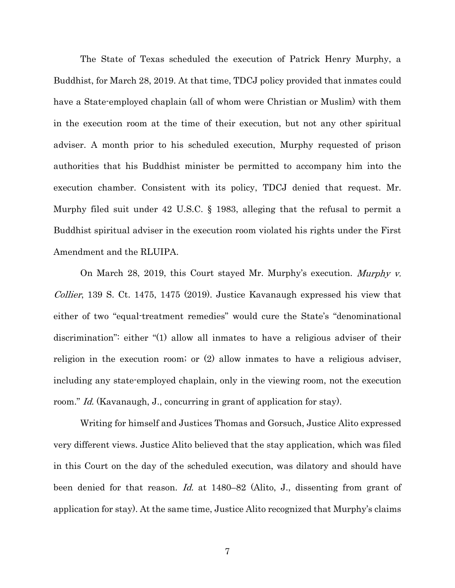The State of Texas scheduled the execution of Patrick Henry Murphy, a Buddhist, for March 28, 2019. At that time, TDCJ policy provided that inmates could have a State-employed chaplain (all of whom were Christian or Muslim) with them in the execution room at the time of their execution, but not any other spiritual adviser. A month prior to his scheduled execution, Murphy requested of prison authorities that his Buddhist minister be permitted to accompany him into the execution chamber. Consistent with its policy, TDCJ denied that request. Mr. Murphy filed suit under 42 U.S.C. § 1983, alleging that the refusal to permit a Buddhist spiritual adviser in the execution room violated his rights under the First Amendment and the RLUIPA.

<span id="page-12-1"></span><span id="page-12-0"></span>On March 28, 2019, this Court stayed Mr. Murphy's execution. Murphy v. *Collier*, 139 S. Ct. 1475, 1475 (2019). Justice Kavanaugh expressed his view that either of two "equal-treatment remedies" would cure the State's "denominational discrimination": either "(1) allow all inmates to have a religious adviser of their religion in the execution room; or (2) allow inmates to have a religious adviser, including any state-employed chaplain, only in the viewing room, not the execution room." *Id.* (Kavanaugh, J., concurring in grant of application for stay).

Writing for himself and Justices Thomas and Gorsuch, Justice Alito expressed very different views. Justice Alito believed that the stay application, which was filed in this Court on the day of the scheduled execution, was dilatory and should have been denied for that reason. Id. at 1480–82 (Alito, J., dissenting from grant of application for stay). At the same time, Justice Alito recognized that Murphy's claims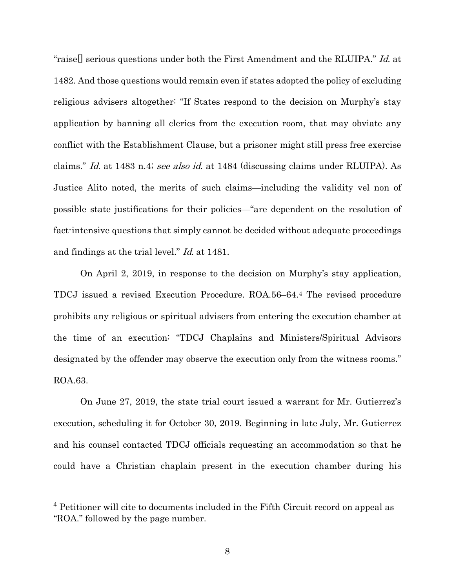<span id="page-13-0"></span>"raisell serious questions under both the First Amendment and the RLUIPA." Id. at 1482. And those questions would remain even if states adopted the policy of excluding religious advisers altogether: "If States respond to the decision on Murphy's stay application by banning all clerics from the execution room, that may obviate any conflict with the Establishment Clause, but a prisoner might still press free exercise claims." Id. at 1483 n.4; see also id. at 1484 (discussing claims under RLUIPA). As Justice Alito noted, the merits of such claims—including the validity vel non of possible state justifications for their policies—"are dependent on the resolution of fact-intensive questions that simply cannot be decided without adequate proceedings and findings at the trial level." Id. at 1481.

On April 2, 2019, in response to the decision on Murphy's stay application, TDCJ issued a revised Execution Procedure. ROA.56–64.[4](#page-13-1) The revised procedure prohibits any religious or spiritual advisers from entering the execution chamber at the time of an execution: "TDCJ Chaplains and Ministers/Spiritual Advisors designated by the offender may observe the execution only from the witness rooms." ROA.63.

On June 27, 2019, the state trial court issued a warrant for Mr. Gutierrez's execution, scheduling it for October 30, 2019. Beginning in late July, Mr. Gutierrez and his counsel contacted TDCJ officials requesting an accommodation so that he could have a Christian chaplain present in the execution chamber during his

<span id="page-13-1"></span> <sup>4</sup> Petitioner will cite to documents included in the Fifth Circuit record on appeal as "ROA." followed by the page number.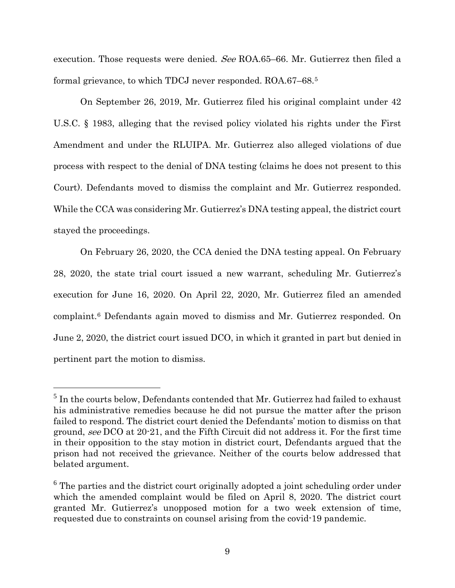execution. Those requests were denied. See ROA.65–66. Mr. Gutierrez then filed a formal grievance, to which TDCJ never responded. ROA.67–68.[5](#page-14-1)

<span id="page-14-0"></span>On September 26, 2019, Mr. Gutierrez filed his original complaint under 42 U.S.C. § 1983, alleging that the revised policy violated his rights under the First Amendment and under the RLUIPA. Mr. Gutierrez also alleged violations of due process with respect to the denial of DNA testing (claims he does not present to this Court). Defendants moved to dismiss the complaint and Mr. Gutierrez responded. While the CCA was considering Mr. Gutierrez's DNA testing appeal, the district court stayed the proceedings.

On February 26, 2020, the CCA denied the DNA testing appeal. On February 28, 2020, the state trial court issued a new warrant, scheduling Mr. Gutierrez's execution for June 16, 2020. On April 22, 2020, Mr. Gutierrez filed an amended complaint.[6](#page-14-2) Defendants again moved to dismiss and Mr. Gutierrez responded. On June 2, 2020, the district court issued DCO, in which it granted in part but denied in pertinent part the motion to dismiss.

<span id="page-14-1"></span> $5$  In the courts below, Defendants contended that Mr. Gutierrez had failed to exhaust his administrative remedies because he did not pursue the matter after the prison failed to respond. The district court denied the Defendants' motion to dismiss on that ground, see DCO at 20-21, and the Fifth Circuit did not address it. For the first time in their opposition to the stay motion in district court, Defendants argued that the prison had not received the grievance. Neither of the courts below addressed that belated argument.

<span id="page-14-2"></span><sup>&</sup>lt;sup>6</sup> The parties and the district court originally adopted a joint scheduling order under which the amended complaint would be filed on April 8, 2020. The district court granted Mr. Gutierrez's unopposed motion for a two week extension of time, requested due to constraints on counsel arising from the covid-19 pandemic.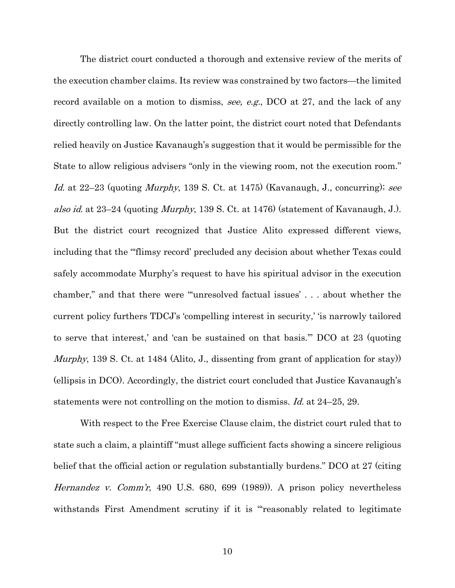<span id="page-15-1"></span>The district court conducted a thorough and extensive review of the merits of the execution chamber claims. Its review was constrained by two factors—the limited record available on a motion to dismiss, see, e.g., DCO at 27, and the lack of any directly controlling law. On the latter point, the district court noted that Defendants relied heavily on Justice Kavanaugh's suggestion that it would be permissible for the State to allow religious advisers "only in the viewing room, not the execution room." Id. at  $22-23$  (quoting *Murphy*, 139 S. Ct. at 1475) (Kavanaugh, J., concurring); see also id. at 23–24 (quoting Murphy, 139 S. Ct. at 1476) (statement of Kavanaugh, J.). But the district court recognized that Justice Alito expressed different views, including that the "'flimsy record' precluded any decision about whether Texas could safely accommodate Murphy's request to have his spiritual advisor in the execution chamber," and that there were "'unresolved factual issues' . . . about whether the current policy furthers TDCJ's 'compelling interest in security,' 'is narrowly tailored to serve that interest,' and 'can be sustained on that basis.'" DCO at 23 (quoting Murphy, 139 S. Ct. at 1484 (Alito, J., dissenting from grant of application for stay)) (ellipsis in DCO). Accordingly, the district court concluded that Justice Kavanaugh's statements were not controlling on the motion to dismiss. Id. at 24–25, 29.

<span id="page-15-0"></span>With respect to the Free Exercise Clause claim, the district court ruled that to state such a claim, a plaintiff "must allege sufficient facts showing a sincere religious belief that the official action or regulation substantially burdens." DCO at 27 (citing Hernandez v. Comm'r, 490 U.S. 680, 699 (1989)). A prison policy nevertheless withstands First Amendment scrutiny if it is "'reasonably related to legitimate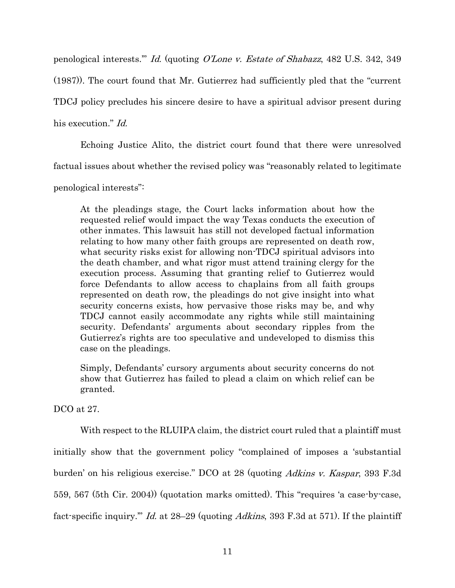<span id="page-16-1"></span>penological interests.'" Id. (quoting O'Lone v. Estate of Shabazz, 482 U.S. 342, 349 (1987)). The court found that Mr. Gutierrez had sufficiently pled that the "current TDCJ policy precludes his sincere desire to have a spiritual advisor present during his execution." *Id.* 

Echoing Justice Alito, the district court found that there were unresolved factual issues about whether the revised policy was "reasonably related to legitimate

penological interests":

At the pleadings stage, the Court lacks information about how the requested relief would impact the way Texas conducts the execution of other inmates. This lawsuit has still not developed factual information relating to how many other faith groups are represented on death row, what security risks exist for allowing non-TDCJ spiritual advisors into the death chamber, and what rigor must attend training clergy for the execution process. Assuming that granting relief to Gutierrez would force Defendants to allow access to chaplains from all faith groups represented on death row, the pleadings do not give insight into what security concerns exists, how pervasive those risks may be, and why TDCJ cannot easily accommodate any rights while still maintaining security. Defendants' arguments about secondary ripples from the Gutierrez's rights are too speculative and undeveloped to dismiss this case on the pleadings.

Simply, Defendants' cursory arguments about security concerns do not show that Gutierrez has failed to plead a claim on which relief can be granted.

DCO at 27.

<span id="page-16-0"></span>With respect to the RLUIPA claim, the district court ruled that a plaintiff must

initially show that the government policy "complained of imposes a 'substantial

burden' on his religious exercise." DCO at 28 (quoting Adkins v. Kaspar, 393 F.3d

559, 567 (5th Cir. 2004)) (quotation marks omitted). This "requires 'a case-by-case,

fact-specific inquiry." Id. at 28–29 (quoting Adkins, 393 F.3d at 571). If the plaintiff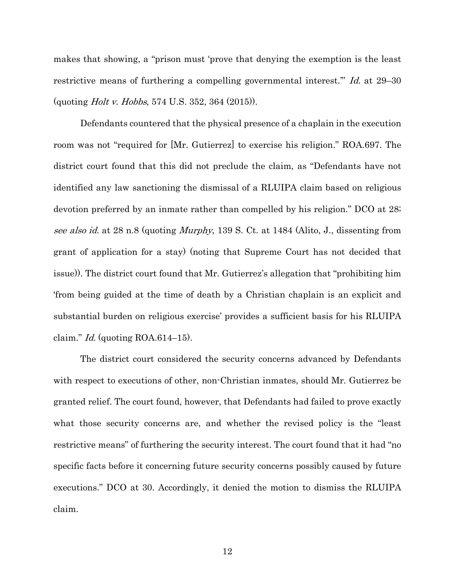<span id="page-17-0"></span>makes that showing, a "prison must 'prove that denying the exemption is the least restrictive means of furthering a compelling governmental interest." Id. at 29-30 (quoting Holt v. Hobbs, 574 U.S. 352, 364 (2015)).

Defendants countered that the physical presence of a chaplain in the execution room was not "required for [Mr. Gutierrez] to exercise his religion." ROA.697. The district court found that this did not preclude the claim, as "Defendants have not identified any law sanctioning the dismissal of a RLUIPA claim based on religious devotion preferred by an inmate rather than compelled by his religion." DCO at 28; see also id. at 28 n.8 (quoting *Murphy*, 139 S. Ct. at 1484 (Alito, J., dissenting from grant of application for a stay) (noting that Supreme Court has not decided that issue)). The district court found that Mr. Gutierrez's allegation that "prohibiting him 'from being guided at the time of death by a Christian chaplain is an explicit and substantial burden on religious exercise' provides a sufficient basis for his RLUIPA claim." Id. (quoting  $ROA.614-15$ ).

The district court considered the security concerns advanced by Defendants with respect to executions of other, non-Christian inmates, should Mr. Gutierrez be granted relief. The court found, however, that Defendants had failed to prove exactly what those security concerns are, and whether the revised policy is the "least restrictive means" of furthering the security interest. The court found that it had "no specific facts before it concerning future security concerns possibly caused by future executions." DCO at 30. Accordingly, it denied the motion to dismiss the RLUIPA claim.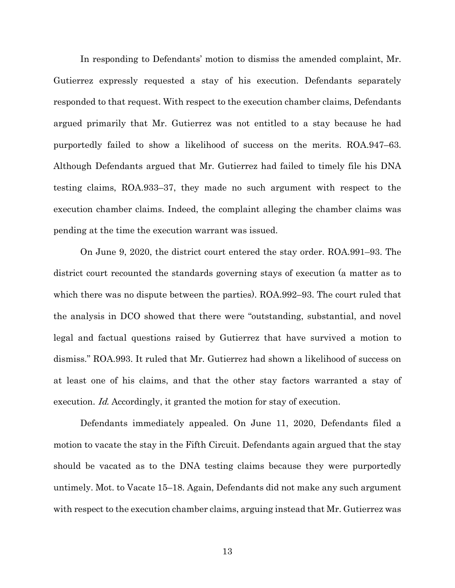In responding to Defendants' motion to dismiss the amended complaint, Mr. Gutierrez expressly requested a stay of his execution. Defendants separately responded to that request. With respect to the execution chamber claims, Defendants argued primarily that Mr. Gutierrez was not entitled to a stay because he had purportedly failed to show a likelihood of success on the merits. ROA.947–63. Although Defendants argued that Mr. Gutierrez had failed to timely file his DNA testing claims, ROA.933–37, they made no such argument with respect to the execution chamber claims. Indeed, the complaint alleging the chamber claims was pending at the time the execution warrant was issued.

On June 9, 2020, the district court entered the stay order. ROA.991–93. The district court recounted the standards governing stays of execution (a matter as to which there was no dispute between the parties). ROA.992–93. The court ruled that the analysis in DCO showed that there were "outstanding, substantial, and novel legal and factual questions raised by Gutierrez that have survived a motion to dismiss." ROA.993. It ruled that Mr. Gutierrez had shown a likelihood of success on at least one of his claims, and that the other stay factors warranted a stay of execution. Id. Accordingly, it granted the motion for stay of execution.

<span id="page-18-0"></span>Defendants immediately appealed. On June 11, 2020, Defendants filed a motion to vacate the stay in the Fifth Circuit. Defendants again argued that the stay should be vacated as to the DNA testing claims because they were purportedly untimely. Mot. to Vacate 15–18. Again, Defendants did not make any such argument with respect to the execution chamber claims, arguing instead that Mr. Gutierrez was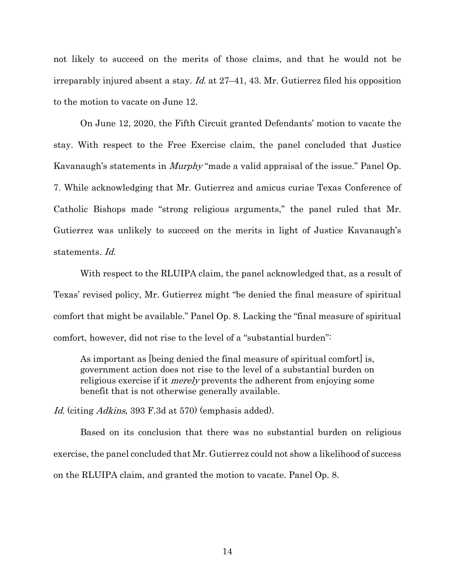<span id="page-19-0"></span>not likely to succeed on the merits of those claims, and that he would not be irreparably injured absent a stay. *Id.* at  $27-41$ , 43. Mr. Gutierrez filed his opposition to the motion to vacate on June 12.

On June 12, 2020, the Fifth Circuit granted Defendants' motion to vacate the stay. With respect to the Free Exercise claim, the panel concluded that Justice Kavanaugh's statements in Murphy "made a valid appraisal of the issue." Panel Op. 7. While acknowledging that Mr. Gutierrez and amicus curiae Texas Conference of Catholic Bishops made "strong religious arguments," the panel ruled that Mr. Gutierrez was unlikely to succeed on the merits in light of Justice Kavanaugh's statements. Id.

With respect to the RLUIPA claim, the panel acknowledged that, as a result of Texas' revised policy, Mr. Gutierrez might "be denied the final measure of spiritual comfort that might be available." Panel Op. 8. Lacking the "final measure of spiritual comfort, however, did not rise to the level of a "substantial burden":

As important as [being denied the final measure of spiritual comfort] is, government action does not rise to the level of a substantial burden on religious exercise if it *merely* prevents the adherent from enjoying some benefit that is not otherwise generally available.

Id. (citing *Adkins*, 393 F.3d at 570) (emphasis added).

Based on its conclusion that there was no substantial burden on religious exercise, the panel concluded that Mr. Gutierrez could not show a likelihood of success on the RLUIPA claim, and granted the motion to vacate. Panel Op. 8.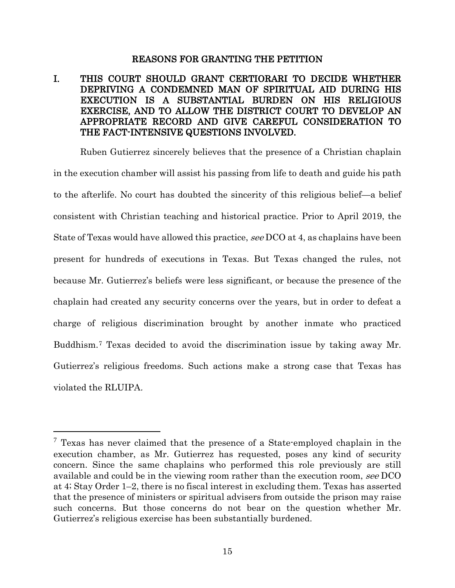#### REASONS FOR GRANTING THE PETITION

## <span id="page-20-1"></span><span id="page-20-0"></span>I. THIS COURT SHOULD GRANT CERTIORARI TO DECIDE WHETHER DEPRIVING A CONDEMNED MAN OF SPIRITUAL AID DURING HIS EXECUTION IS A SUBSTANTIAL BURDEN ON HIS RELIGIOUS EXERCISE, AND TO ALLOW THE DISTRICT COURT TO DEVELOP AN APPROPRIATE RECORD AND GIVE CAREFUL CONSIDERATION TO THE FACT-INTENSIVE QUESTIONS INVOLVED.

Ruben Gutierrez sincerely believes that the presence of a Christian chaplain in the execution chamber will assist his passing from life to death and guide his path to the afterlife. No court has doubted the sincerity of this religious belief—a belief consistent with Christian teaching and historical practice. Prior to April 2019, the State of Texas would have allowed this practice, see DCO at 4, as chaplains have been present for hundreds of executions in Texas. But Texas changed the rules, not because Mr. Gutierrez's beliefs were less significant, or because the presence of the chaplain had created any security concerns over the years, but in order to defeat a charge of religious discrimination brought by another inmate who practiced Buddhism.[7](#page-20-2) Texas decided to avoid the discrimination issue by taking away Mr. Gutierrez's religious freedoms. Such actions make a strong case that Texas has violated the RLUIPA.

<span id="page-20-2"></span> $7$  Texas has never claimed that the presence of a State-employed chaplain in the execution chamber, as Mr. Gutierrez has requested, poses any kind of security concern. Since the same chaplains who performed this role previously are still available and could be in the viewing room rather than the execution room, see DCO at 4; Stay Order 1–2, there is no fiscal interest in excluding them. Texas has asserted that the presence of ministers or spiritual advisers from outside the prison may raise such concerns. But those concerns do not bear on the question whether Mr. Gutierrez's religious exercise has been substantially burdened.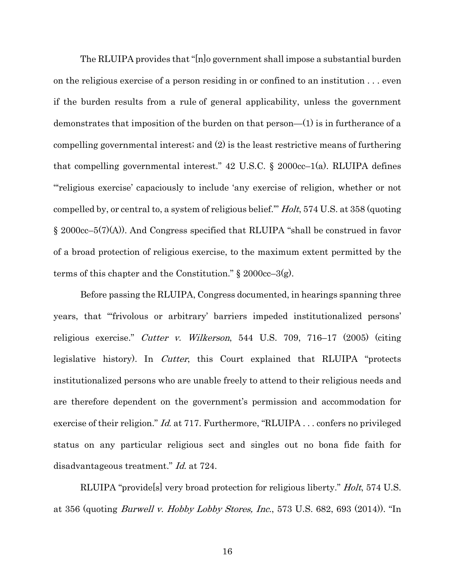<span id="page-21-2"></span>The RLUIPA provides that "[n]o government shall impose a substantial burden on the religious exercise of a person residing in or confined to an institution . . . even if the burden results from a rule of general applicability, unless the government demonstrates that imposition of the burden on that person—(1) is in furtherance of a compelling governmental interest; and (2) is the least restrictive means of furthering that compelling governmental interest." 42 U.S.C.  $\S$  2000cc–1(a). RLUIPA defines "'religious exercise' capaciously to include 'any exercise of religion, whether or not compelled by, or central to, a system of religious belief.'" Holt, 574 U.S. at 358 (quoting § 2000cc–5(7)(A)). And Congress specified that RLUIPA "shall be construed in favor of a broad protection of religious exercise, to the maximum extent permitted by the terms of this chapter and the Constitution."  $\S 2000cc-3(g)$ .

<span id="page-21-3"></span><span id="page-21-1"></span><span id="page-21-0"></span>Before passing the RLUIPA, Congress documented, in hearings spanning three years, that "'frivolous or arbitrary' barriers impeded institutionalized persons' religious exercise." Cutter v. Wilkerson, 544 U.S. 709, 716–17 (2005) (citing legislative history). In *Cutter*, this Court explained that RLUIPA "protects" institutionalized persons who are unable freely to attend to their religious needs and are therefore dependent on the government's permission and accommodation for exercise of their religion." *Id.* at 717. Furthermore, "RLUIPA . . . confers no privileged status on any particular religious sect and singles out no bona fide faith for disadvantageous treatment." *Id.* at 724.

RLUIPA "providels very broad protection for religious liberty." *Holt*, 574 U.S. at 356 (quoting Burwell v. Hobby Lobby Stores, Inc., 573 U.S. 682, 693 (2014)). "In

16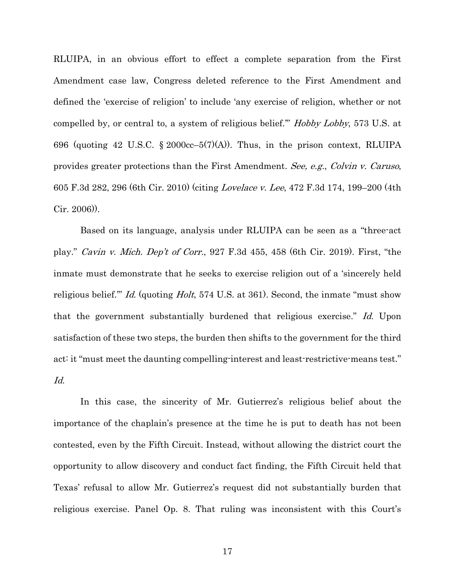<span id="page-22-2"></span>RLUIPA, in an obvious effort to effect a complete separation from the First Amendment case law, Congress deleted reference to the First Amendment and defined the 'exercise of religion' to include 'any exercise of religion, whether or not compelled by, or central to, a system of religious belief.'" Hobby Lobby, 573 U.S. at 696 (quoting 42 U.S.C. § 2000cc–5(7)(A)). Thus, in the prison context, RLUIPA provides greater protections than the First Amendment. See, e.g., Colvin v. Caruso, 605 F.3d 282, 296 (6th Cir. 2010) (citing Lovelace v. Lee, 472 F.3d 174, 199–200 (4th Cir. 2006)).

<span id="page-22-1"></span><span id="page-22-0"></span>Based on its language, analysis under RLUIPA can be seen as a "three-act play." Cavin v. Mich. Dep't of Corr., 927 F.3d 455, 458 (6th Cir. 2019). First, "the inmate must demonstrate that he seeks to exercise religion out of a 'sincerely held religious belief." *Id.* (quoting *Holt*, 574 U.S. at 361). Second, the inmate "must show that the government substantially burdened that religious exercise." Id. Upon satisfaction of these two steps, the burden then shifts to the government for the third act: it "must meet the daunting compelling-interest and least-restrictive-means test." Id.

In this case, the sincerity of Mr. Gutierrez's religious belief about the importance of the chaplain's presence at the time he is put to death has not been contested, even by the Fifth Circuit. Instead, without allowing the district court the opportunity to allow discovery and conduct fact finding, the Fifth Circuit held that Texas' refusal to allow Mr. Gutierrez's request did not substantially burden that religious exercise. Panel Op. 8. That ruling was inconsistent with this Court's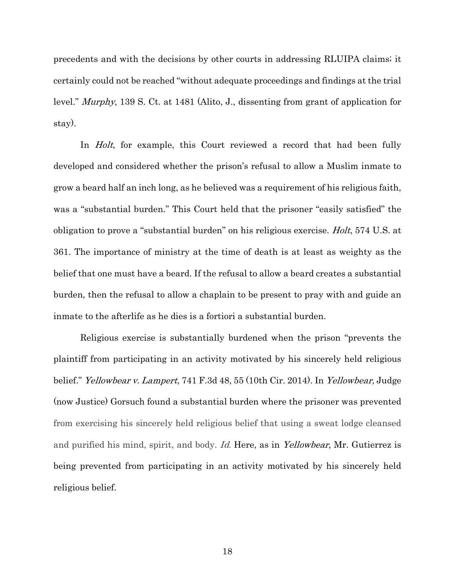<span id="page-23-1"></span>precedents and with the decisions by other courts in addressing RLUIPA claims; it certainly could not be reached "without adequate proceedings and findings at the trial level." Murphy, 139 S. Ct. at 1481 (Alito, J., dissenting from grant of application for stay).

<span id="page-23-0"></span>In *Holt*, for example, this Court reviewed a record that had been fully developed and considered whether the prison's refusal to allow a Muslim inmate to grow a beard half an inch long, as he believed was a requirement of his religious faith, was a "substantial burden." This Court held that the prisoner "easily satisfied" the obligation to prove a "substantial burden" on his religious exercise. Holt, 574 U.S. at 361. The importance of ministry at the time of death is at least as weighty as the belief that one must have a beard. If the refusal to allow a beard creates a substantial burden, then the refusal to allow a chaplain to be present to pray with and guide an inmate to the afterlife as he dies is a fortiori a substantial burden.

<span id="page-23-2"></span>Religious exercise is substantially burdened when the prison "prevents the plaintiff from participating in an activity motivated by his sincerely held religious belief." *Yellowbear v. Lampert*, 741 F.3d 48, 55 (10th Cir. 2014). In *Yellowbear*, Judge (now Justice) Gorsuch found a substantial burden where the prisoner was prevented from exercising his sincerely held religious belief that using a sweat lodge cleansed and purified his mind, spirit, and body. Id. Here, as in Yellowbear, Mr. Gutierrez is being prevented from participating in an activity motivated by his sincerely held religious belief.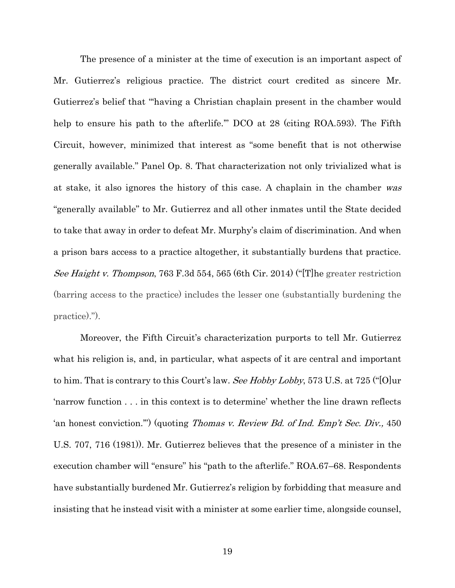The presence of a minister at the time of execution is an important aspect of Mr. Gutierrez's religious practice. The district court credited as sincere Mr. Gutierrez's belief that "'having a Christian chaplain present in the chamber would help to ensure his path to the afterlife." DCO at 28 (citing ROA.593). The Fifth Circuit, however, minimized that interest as "some benefit that is not otherwise generally available." Panel Op. 8. That characterization not only trivialized what is at stake, it also ignores the history of this case. A chaplain in the chamber was "generally available" to Mr. Gutierrez and all other inmates until the State decided to take that away in order to defeat Mr. Murphy's claim of discrimination. And when a prison bars access to a practice altogether, it substantially burdens that practice. See Haight v. Thompson, 763 F.3d 554, 565 (6th Cir. 2014) ("[T] he greater restriction (barring access to the practice) includes the lesser one (substantially burdening the practice).").

<span id="page-24-1"></span><span id="page-24-0"></span>Moreover, the Fifth Circuit's characterization purports to tell Mr. Gutierrez what his religion is, and, in particular, what aspects of it are central and important to him. That is contrary to this Court's law. See Hobby Lobby, 573 U.S. at 725 ("[O]ur 'narrow function . . . in this context is to determine' whether the line drawn reflects 'an honest conviction."") (quoting *Thomas v. Review Bd. of Ind. Emp't Sec. Div.*, 450 U.S. 707, 716 (1981)). Mr. Gutierrez believes that the presence of a minister in the execution chamber will "ensure" his "path to the afterlife." ROA.67–68. Respondents have substantially burdened Mr. Gutierrez's religion by forbidding that measure and insisting that he instead visit with a minister at some earlier time, alongside counsel,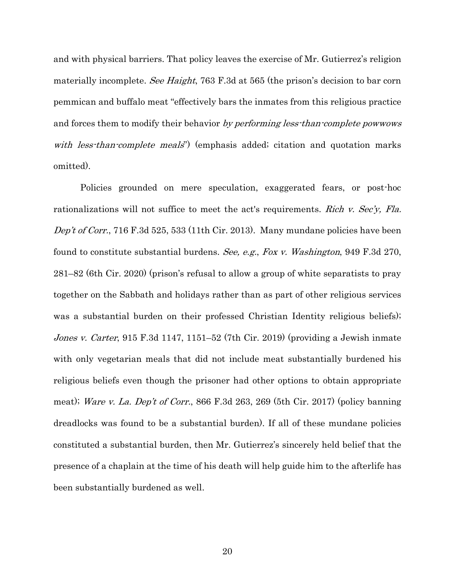<span id="page-25-1"></span>and with physical barriers. That policy leaves the exercise of Mr. Gutierrez's religion materially incomplete. See Haight, 763 F.3d at 565 (the prison's decision to bar corn pemmican and buffalo meat "effectively bars the inmates from this religious practice and forces them to modify their behavior by performing less-than-complete powwows with less-than-complete meals") (emphasis added; citation and quotation marks omitted).

<span id="page-25-3"></span><span id="page-25-2"></span><span id="page-25-0"></span>Policies grounded on mere speculation, exaggerated fears, or post-hoc rationalizations will not suffice to meet the act's requirements. *Rich v. Sec'y, Fla.* Dep't of Corr.[, 716 F.3d 525, 533 \(11th Cir. 2013\).](https://1.next.westlaw.com/Link/Document/FullText?findType=Y&serNum=2030525097&pubNum=0000506&originatingDoc=I9b0e5710337411e687dda03c2315206d&refType=RP&fi=co_pp_sp_506_533&originationContext=document&transitionType=DocumentItem&contextData=(sc.Keycite)#co_pp_sp_506_533) Many mundane policies have been found to constitute substantial burdens. See, e.g., Fox v. Washington, 949 F.3d 270, 281–82 (6th Cir. 2020) (prison's refusal to allow a group of white separatists to pray together on the Sabbath and holidays rather than as part of other religious services was a substantial burden on their professed Christian Identity religious beliefs); Jones v. Carter, 915 F.3d 1147, 1151–52 (7th Cir. 2019) (providing a Jewish inmate with only vegetarian meals that did not include meat substantially burdened his religious beliefs even though the prisoner had other options to obtain appropriate meat); Ware v. La. Dep't of Corr., 866 F.3d 263, 269 (5th Cir. 2017) (policy banning dreadlocks was found to be a substantial burden). If all of these mundane policies constituted a substantial burden, then Mr. Gutierrez's sincerely held belief that the presence of a chaplain at the time of his death will help guide him to the afterlife has been substantially burdened as well.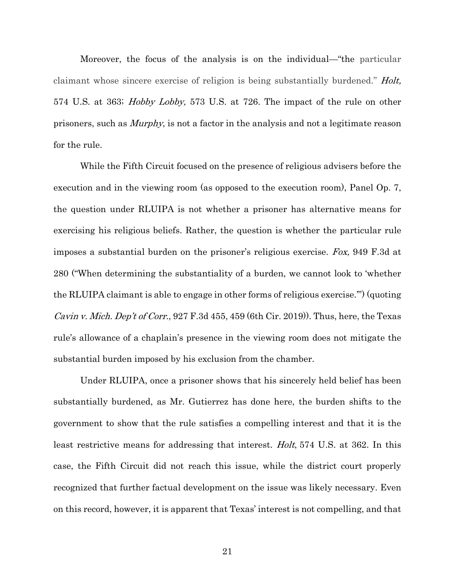<span id="page-26-2"></span><span id="page-26-1"></span>Moreover, the focus of the analysis is on the individual—"the particular claimant whose sincere exercise of religion is being substantially burdened." *Holt*, 574 U.S. at 363; Hobby Lobby, 573 U.S. at 726. The impact of the rule on other prisoners, such as Murphy, is not a factor in the analysis and not a legitimate reason for the rule.

<span id="page-26-0"></span>While the Fifth Circuit focused on the presence of religious advisers before the execution and in the viewing room (as opposed to the execution room), Panel Op. 7, the question under RLUIPA is not whether a prisoner has alternative means for exercising his religious beliefs. Rather, the question is whether the particular rule imposes a substantial burden on the prisoner's religious exercise. Fox, 949 F.3d at 280 ("When determining the substantiality of a burden, we cannot look to 'whether the RLUIPA claimant is able to engage in other forms of religious exercise.'") (quoting *Cavin v. Mich. Dep't of Corr.*, 927 F.3d 455, 459 (6th Cir. 2019)). Thus, here, the Texas rule's allowance of a chaplain's presence in the viewing room does not mitigate the substantial burden imposed by his exclusion from the chamber.

Under RLUIPA, once a prisoner shows that his sincerely held belief has been substantially burdened, as Mr. Gutierrez has done here, the burden shifts to the government to show that the rule satisfies a compelling interest and that it is the least restrictive means for addressing that interest. Holt, [574 U.S. at](https://1.next.westlaw.com/Link/Document/FullText?findType=Y&serNum=2035298235&pubNum=0000708&originatingDoc=I4dfc317073f311e794a1f7ff5c621124&refType=RP&fi=co_pp_sp_708_862&originationContext=document&transitionType=DocumentItem&contextData=(sc.Keycite)#co_pp_sp_708_862) 362. In this case, the Fifth Circuit did not reach this issue, while the district court properly recognized that further factual development on the issue was likely necessary. Even on this record, however, it is apparent that Texas' interest is not compelling, and that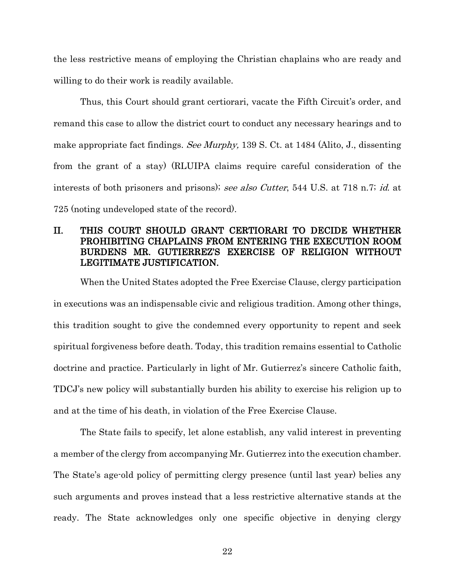the less restrictive means of employing the Christian chaplains who are ready and willing to do their work is readily available.

<span id="page-27-2"></span>Thus, this Court should grant certiorari, vacate the Fifth Circuit's order, and remand this case to allow the district court to conduct any necessary hearings and to make appropriate fact findings. See Murphy, 139 S. Ct. at 1484 (Alito, J., dissenting from the grant of a stay) (RLUIPA claims require careful consideration of the interests of both prisoners and prisons); see also Cutter, 544 U.S. at 718 n.7; id. at 725 (noting undeveloped state of the record).

## <span id="page-27-1"></span><span id="page-27-0"></span>II. THIS COURT SHOULD GRANT CERTIORARI TO DECIDE WHETHER PROHIBITING CHAPLAINS FROM ENTERING THE EXECUTION ROOM BURDENS MR. GUTIERREZ'S EXERCISE OF RELIGION WITHOUT LEGITIMATE JUSTIFICATION.

When the United States adopted the Free Exercise Clause, clergy participation in executions was an indispensable civic and religious tradition. Among other things, this tradition sought to give the condemned every opportunity to repent and seek spiritual forgiveness before death. Today, this tradition remains essential to Catholic doctrine and practice. Particularly in light of Mr. Gutierrez's sincere Catholic faith, TDCJ's new policy will substantially burden his ability to exercise his religion up to and at the time of his death, in violation of the Free Exercise Clause.

The State fails to specify, let alone establish, any valid interest in preventing a member of the clergy from accompanying Mr. Gutierrez into the execution chamber. The State's age-old policy of permitting clergy presence (until last year) belies any such arguments and proves instead that a less restrictive alternative stands at the ready. The State acknowledges only one specific objective in denying clergy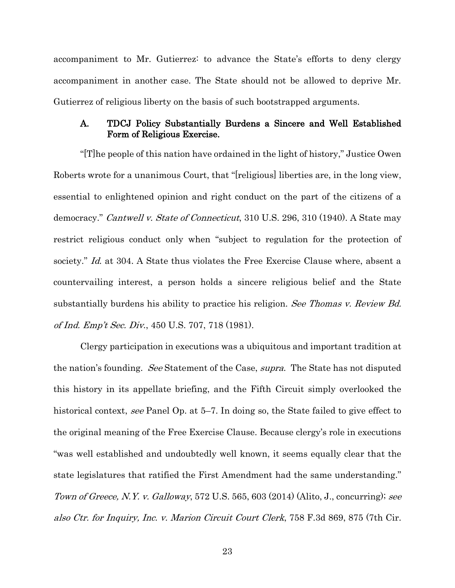accompaniment to Mr. Gutierrez: to advance the State's efforts to deny clergy accompaniment in another case. The State should not be allowed to deprive Mr. Gutierrez of religious liberty on the basis of such bootstrapped arguments.

#### <span id="page-28-0"></span>A. TDCJ Policy Substantially Burdens a Sincere and Well Established Form of Religious Exercise.

<span id="page-28-1"></span>"[T]he people of this nation have ordained in the light of history," Justice Owen Roberts wrote for a unanimous Court, that "[religious] liberties are, in the long view, essential to enlightened opinion and right conduct on the part of the citizens of a democracy." Cantwell v. State of Connecticut, 310 U.S. 296, 310 (1940). A State may restrict religious conduct only when "subject to regulation for the protection of society." Id. at 304. A State thus violates the Free Exercise Clause where, absent a countervailing interest, a person holds a sincere religious belief and the State substantially burdens his ability to practice his religion. See Thomas v. Review Bd. of Ind. Emp't Sec. Div., 450 U.S. 707, 718 (1981).

<span id="page-28-4"></span><span id="page-28-3"></span><span id="page-28-2"></span>Clergy participation in executions was a ubiquitous and important tradition at the nation's founding. See Statement of the Case, supra. The State has not disputed this history in its appellate briefing, and the Fifth Circuit simply overlooked the historical context, see Panel Op. at 5–7. In doing so, the State failed to give effect to the original meaning of the Free Exercise Clause. Because clergy's role in executions "was well established and undoubtedly well known, it seems equally clear that the state legislatures that ratified the First Amendment had the same understanding." Town of Greece, N.Y. v. Galloway, 572 U.S. 565, 603 (2014) (Alito, J., concurring); see also Ctr. for Inquiry, Inc. v. Marion Circuit Court Clerk, 758 F.3d 869, 875 (7th Cir.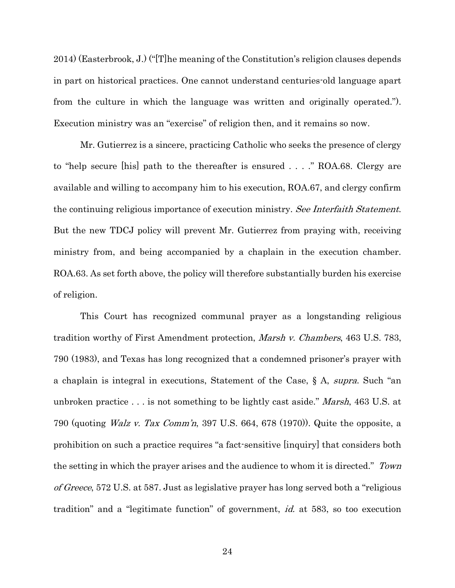2014) (Easterbrook, J.) ("[T]he meaning of the Constitution's religion clauses depends in part on historical practices. One cannot understand centuries-old language apart from the culture in which the language was written and originally operated."). Execution ministry was an "exercise" of religion then, and it remains so now.

Mr. Gutierrez is a sincere, practicing Catholic who seeks the presence of clergy to "help secure [his] path to the thereafter is ensured . . . ." ROA.68. Clergy are available and willing to accompany him to his execution, ROA.67, and clergy confirm the continuing religious importance of execution ministry. See Interfaith Statement. But the new TDCJ policy will prevent Mr. Gutierrez from praying with, receiving ministry from, and being accompanied by a chaplain in the execution chamber. ROA.63. As set forth above, the policy will therefore substantially burden his exercise of religion.

<span id="page-29-1"></span><span id="page-29-0"></span>This Court has recognized communal prayer as a longstanding religious tradition worthy of First Amendment protection, Marsh v. Chambers, 463 U.S. 783, 790 (1983), and Texas has long recognized that a condemned prisoner's prayer with a chaplain is integral in executions, Statement of the Case, § A, supra. Such "an unbroken practice . . . is not something to be lightly cast aside." *Marsh*, 463 U.S. at 790 (quoting *Walz v. Tax Comm'n*, 397 U.S. 664, 678 (1970)). Quite the opposite, a prohibition on such a practice requires "a fact-sensitive [inquiry] that considers both the setting in which the prayer arises and the audience to whom it is directed." Town of Greece, 572 U.S. at 587. Just as legislative prayer has long served both a "religious" tradition" and a "legitimate function" of government, id. at 583, so too execution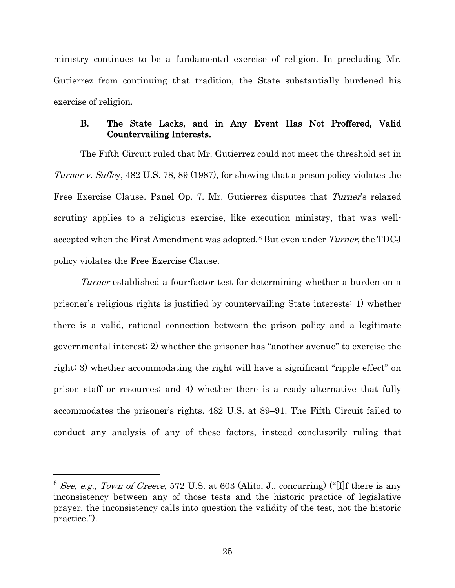ministry continues to be a fundamental exercise of religion. In precluding Mr. Gutierrez from continuing that tradition, the State substantially burdened his exercise of religion.

### <span id="page-30-0"></span>B. The State Lacks, and in Any Event Has Not Proffered, Valid Countervailing Interests.

<span id="page-30-2"></span>The Fifth Circuit ruled that Mr. Gutierrez could not meet the threshold set in Turner v. Safley, 482 U.S. 78, 89 (1987), for showing that a prison policy violates the Free Exercise Clause. Panel Op. 7. Mr. Gutierrez disputes that Turner's relaxed scrutiny applies to a religious exercise, like execution ministry, that was well-accepted when the First Amendment was adopted.<sup>[8](#page-30-4)</sup> But even under Turner, the TDCJ policy violates the Free Exercise Clause.

Turner established a four-factor test for determining whether a burden on a prisoner's religious rights is justified by countervailing State interests: 1) whether there is a valid, rational connection between the prison policy and a legitimate governmental interest; 2) whether the prisoner has "another avenue" to exercise the right; 3) whether accommodating the right will have a significant "ripple effect" on prison staff or resources; and 4) whether there is a ready alternative that fully accommodates the prisoner's rights. 482 U.S. at 89–91. The Fifth Circuit failed to conduct any analysis of any of these factors, instead conclusorily ruling that

<span id="page-30-4"></span><span id="page-30-3"></span><span id="page-30-1"></span><sup>&</sup>lt;sup>8</sup> See, e.g., Town of Greece, 572 U.S. at 603 (Alito, J., concurring) ("[I]f there is any inconsistency between any of those tests and the historic practice of legislative prayer, the inconsistency calls into question the validity of the test, not the historic practice.").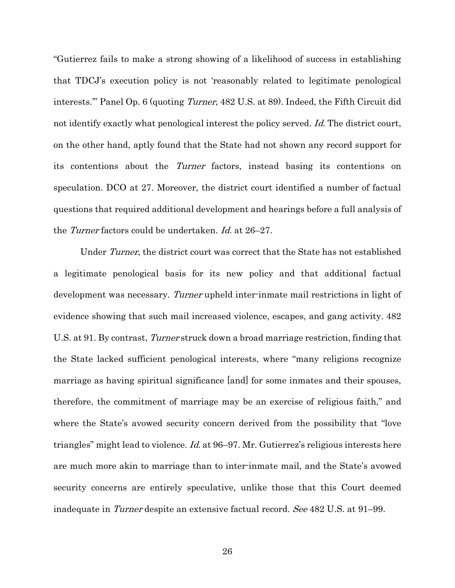<span id="page-31-0"></span>"Gutierrez fails to make a strong showing of a likelihood of success in establishing that TDCJ's execution policy is not 'reasonably related to legitimate penological interests.'" Panel Op. 6 (quoting Turner, 482 U.S. at 89). Indeed, the Fifth Circuit did not identify exactly what penological interest the policy served. Id. The district court, on the other hand, aptly found that the State had not shown any record support for its contentions about the Turner factors, instead basing its contentions on speculation. DCO at 27. Moreover, the district court identified a number of factual questions that required additional development and hearings before a full analysis of the Turner factors could be undertaken. Id. at 26–27.

Under Turner, the district court was correct that the State has not established a legitimate penological basis for its new policy and that additional factual development was necessary. Turner upheld inter-inmate mail restrictions in light of evidence showing that such mail increased violence, escapes, and gang activity. 482 U.S. at 91. By contrast, Turner struck down a broad marriage restriction, finding that the State lacked sufficient penological interests, where "many religions recognize marriage as having spiritual significance [and] for some inmates and their spouses, therefore, the commitment of marriage may be an exercise of religious faith," and where the State's avowed security concern derived from the possibility that "love triangles" might lead to violence. Id. at 96–97. Mr. Gutierrez's religious interests here are much more akin to marriage than to inter-inmate mail, and the State's avowed security concerns are entirely speculative, unlike those that this Court deemed inadequate in Turner despite an extensive factual record. See 482 U.S. at 91–99.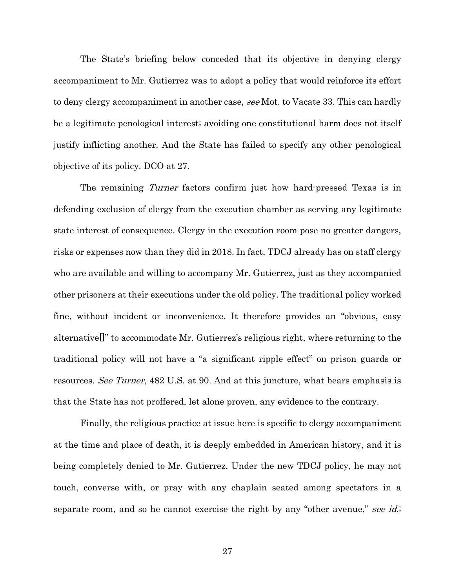The State's briefing below conceded that its objective in denying clergy accompaniment to Mr. Gutierrez was to adopt a policy that would reinforce its effort to deny clergy accompaniment in another case, see Mot. to Vacate 33. This can hardly be a legitimate penological interest; avoiding one constitutional harm does not itself justify inflicting another. And the State has failed to specify any other penological objective of its policy. DCO at 27.

The remaining Turner factors confirm just how hard-pressed Texas is in defending exclusion of clergy from the execution chamber as serving any legitimate state interest of consequence. Clergy in the execution room pose no greater dangers, risks or expenses now than they did in 2018. In fact, TDCJ already has on staff clergy who are available and willing to accompany Mr. Gutierrez, just as they accompanied other prisoners at their executions under the old policy. The traditional policy worked fine, without incident or inconvenience. It therefore provides an "obvious, easy alternative[]" to accommodate Mr. Gutierrez's religious right, where returning to the traditional policy will not have a "a significant ripple effect" on prison guards or resources. See Turner, 482 U.S. at 90. And at this juncture, what bears emphasis is that the State has not proffered, let alone proven, any evidence to the contrary.

<span id="page-32-0"></span>Finally, the religious practice at issue here is specific to clergy accompaniment at the time and place of death, it is deeply embedded in American history, and it is being completely denied to Mr. Gutierrez. Under the new TDCJ policy, he may not touch, converse with, or pray with any chaplain seated among spectators in a separate room, and so he cannot exercise the right by any "other avenue," see id.;